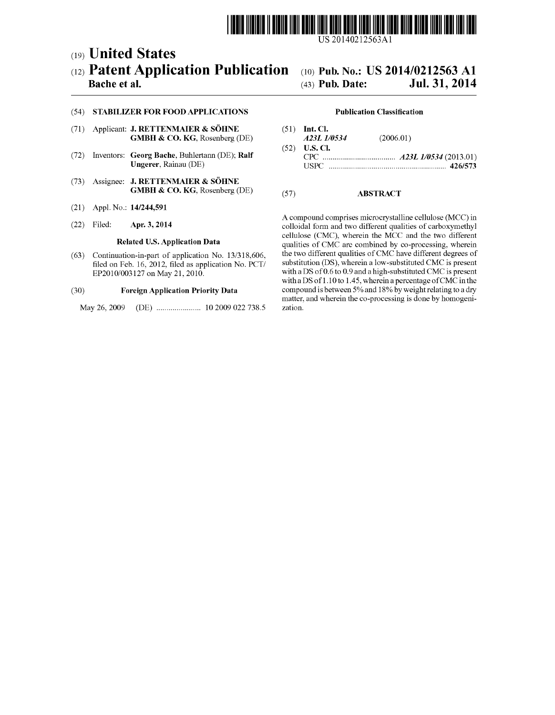

US 201402.12563A1

# (19) United States (12) Patent Application Publication (10) Pub. No.: US 2014/0212563 A1<br>Bache et al. (43) Pub. Date: Jul. 31, 2014

### Bache et al.

# Jul. 31, 2014

## (54) STABILIZER FOR FOOD APPLICATIONS

- (71) Applicant: **J. RETTENMAIER & SÖHNE** GMBH & CO. KG, Rosenberg (DE)
- (72) Inventors: Georg Bache, Buhlertann (DE); Ralf Ungerer, Rainau (DE)
- (73) Assignee: J. RETTENMAIER & SÖHNE GMBH & CO. KG, Rosenberg (DE)
- (21) Appl. No.: 14/244,591
- (22) Filed: Apr. 3, 2014

#### Related U.S. Application Data

(63) Continuation-in-part of application No. 13/318,606, filed on Feb. 16, 2012, filed as application No. PCT/ EP2010/003127 on May 21, 2010.

#### (30) Foreign Application Priority Data

May 26, 2009 (DE) ...................... 10 2009 O22 738.5

#### Publication Classification

(51) Int. Cl. A23L 1/0534 (2006.01) (52) U.S. Cl. CPC .................................... A23L I/0534 (2013.01) USPC .......................................................... 426/573

### (57) ABSTRACT

A compound comprises microcrystalline cellulose (MCC) in colloidal form and two different qualities of carboxymethyl cellulose (CMC), wherein the MCC and the two different qualities of CMC are combined by co-processing, wherein the two different qualities of CMC have different degrees of substitution (DS), wherein a low-substituted CMC is present with a DS of 0.6 to 0.9 and a high-substituted CMC is present with a DS of 1.10 to 1.45, wherein a percentage of CMC in the compound is between 5% and 18% by weight relating to a dry matter, and wherein the co-processing is done by homogeni Zation.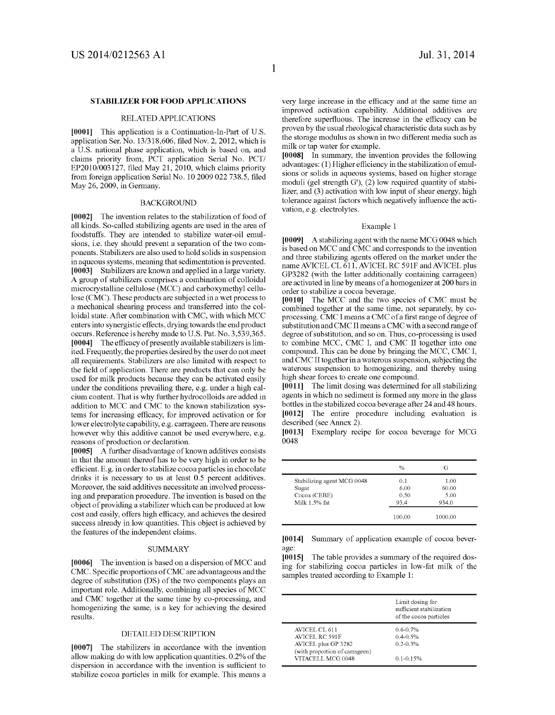#### STABILIZER FOR FOOD APPLICATIONS

#### RELATED APPLICATIONS

[0001] This application is a Continuation-In-Part of U.S. application Ser. No. 13/318,606, filed Nov. 2, 2012, which is a U.S. national phase application, which is based on, and claims priority from, PCT application Serial No. PCT/ EP2010/003127, filed May 21, 2010, which claims priority from foreign application Serial No. 10 2009 022 738.5, filed May 26, 2009, in Germany.

#### BACKGROUND

[0002] The invention relates to the stabilization of food of all kinds. So-called stabilizing agents are used in the area of foodstuffs. They are intended to stabilize water-oil emul sions, i.e. they should prevent a separation of the two components. Stabilizers are also used to hold solids in suspension in aqueous systems, meaning that sedimentation is prevented. [0003] Stabilizers are known and applied in a large variety. A group of stabilizers comprises a combination of colloidal microcrystalline cellulose (MCC) and carboxymethyl cellu lose (CMC). These products are subjected in a wet process to a mechanical shearing process and transferred into the col loidal state. After combination with CMC, with which MCC enters into synergistic effects, drying towards the end product occurs. Reference is hereby made to U.S. Pat. No. 3,539,365. [0004] The efficacy of presently available stabilizers is limited. Frequently, the properties desired by the user do not meet all requirements. Stabilizers are also limited with respect to the field of application. There are products that can only be used for milk products because they can be activated easily under the conditions prevailing there, e.g. under a high cal cium content. That is why further hydrocolloids are added in addition to MCC and CMC to the known stabilization sys tems for increasing efficacy, for improved activation or for lower electrolyte capability, e.g. carrageen. There are reasons however why this additive cannot be used everywhere, e.g. reasons of production or declaration.

[0005] A further disadvantage of known additives consists in that the amount thereof has to be very high in order to be efficient. E.g. in order to stabilize cocoa particles in chocolate drinks it is necessary to us at least 0.5 percent additives.<br>Moreover, the said additives necessitate an involved processing and preparation procedure. The invention is based on the object of providing a stabilizer which can be produced at low cost and easily, offers high efficacy, and achieves the desired success already in low quantities. This object is achieved by the features of the independent claims.

#### SUMMARY

[0006] The invention is based on a dispersion of MCC and CMC. Specific proportions of CMC are advantageous and the degree of substitution (DS) of the two components plays an important role. Additionally, combining all species of MCC and CMC together at the same time by co-processing, and homogenizing the same, is a key for achieving the desired results.

#### DETAILED DESCRIPTION

[0007] The stabilizers in accordance with the invention allow making do with low application quantities. 0.2% of the dispersion in accordance with the invention is sufficient to stabilize cocoa particles in milk for example. This means a

very large increase in the efficacy and at the same time an improved activation capability. Additional additives are therefore superfluous. The increase in the efficacy can be proven by the usual rheological characteristic data such as by the storage modulus as shown in two different media Such as milk or tap water for example.

[0008] In summary, the invention provides the following advantages: (1) Higher efficiency in the stabilization of emul sions or solids in aqueous systems, based on higher storage moduli (gel strength G'), (2) low required quantity of stabilizer, and (3) activation with low input of shear energy, high tolerance against factors which negatively influence the acti Vation, e.g. electrolytes.

#### Example 1

[0009] A stabilizing agent with the name MCG 0048 which is based on MCC and CMC and corresponds to the invention and three stabilizing agents offered on the market under the name AVICEL CL 611, AVICEL RC 591F and AVICEL plus GP3282 (with the latter additionally containing carrageen) are activated in line by means of a homogenizer at 200 bars in order to stabilize a cocoa beverage.

[0010] The MCC and the two species of CMC must be combined together at the same time, not separately, by co processing. CMCI means a CMC of a first range of degree of substitution and CMCII means a CMC with a second range of degree of substitution, and so on. Thus, co-processing is used to combine MCC, CMC I, and CMC II together into one compound. This can be done by bringing the MCC, CMCI, and CMCII together in a waterous suspension, subjecting the waterous suspension to homogenizing, and thereby using high shear forces to create one compound.

[0011] The limit dosing was determined for all stabilizing agents in which no sediment is formed any more in the glass bottles in the stabilized cocoa beverage after 24 and 48 hours. [0012] The entire procedure including evaluation is described (see Annex 2).

[0013] Exemplary recipe for cocoa beverage for MCG OO48

|                            | $\%$   | G       |
|----------------------------|--------|---------|
| Stabilizing agent MCG 0048 | 0.1    | 1.00    |
| Sugar                      | 6.00   | 60.00   |
| Cocoa (CEBE)               | 0.50   | 5.00    |
| Milk 1.5% fat              | 93.4   | 934.0   |
|                            | 100.00 | 1000.00 |

[0014] Summary of application example of cocoa beverage.

[0015] The table provides a summary of the required dosing for stabilizing cocoa particles in low-fat milk of the samples treated according to Example 1:

|                                                        | Limit dosing for<br>sufficient stabilization<br>of the cocoa particles |
|--------------------------------------------------------|------------------------------------------------------------------------|
| AVICEL CL 611<br>AVICEL RC 591F<br>AVICEL plus GP 3282 | $0.6 - 0.7%$<br>$0.4 - 0.5%$<br>$0.2 - 0.3%$                           |
| (with proportion of carrageen)<br>VITACELL MCG 0048    | $0.1 - 0.15%$                                                          |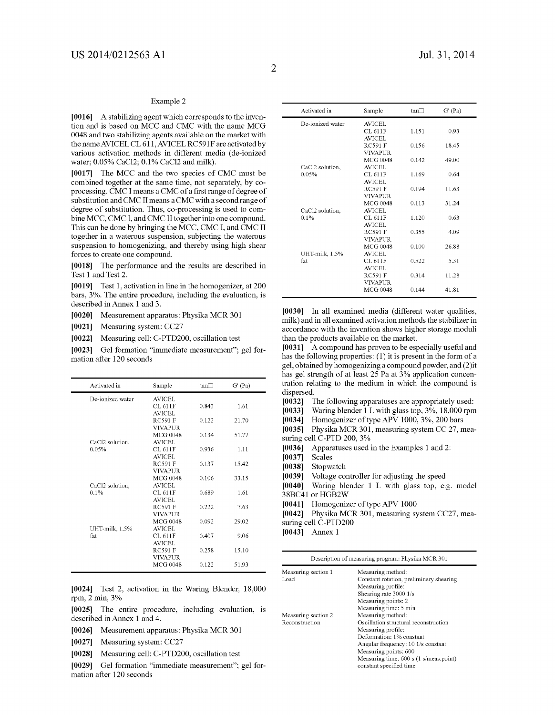#### Example 2

[0016] A stabilizing agent which corresponds to the invention and is based on MCC and CMC with the name MCG 0048 and two stabilizing agents available on the market with the name AVICEL CL 611, AVICEL RC591F are activated by various activation methods in different media (de-ionized water, 0.05% CaCl2: 0.1% CaCl2 and milk).

[0017] The MCC and the two species of CMC must be combined together at the same time, not separately, by co processing. CMCI means a CMC of a first range of degree of substitution and CMC II means a CMC with a second range of degree of substitution. Thus, co-processing is used to combine MCC, CMC I, and CMC II together into one compound. This can be done by bringing the MCC, CMC I, and CMC II together in a waterous suspension, subjecting the waterous suspension to homogenizing, and thereby using high shear forces to create one compound.

[0018] The performance and the results are described in Test 1 and Test 2.

[0019] Test 1, activation in line in the homogenizer, at 200 bars, 3%. The entire procedure, including the evaluation, is described in Annex 1 and 3.

[0020] Measurement apparatus: Physika MCR 301

[0021] Measuring system: CC27

[0022] Measuring cell: C-PTD200, oscillation test

[0023] Gel formation "immediate measurement"; gel formation after 120 seconds

| Activated in     | Sample                   | tan   | $G'$ (Pa) |  |
|------------------|--------------------------|-------|-----------|--|
| De-ionized water | <b>AVICEL</b>            |       |           |  |
|                  | CL 611F                  | 0.843 | 1.61      |  |
|                  | <b>AVICEL</b>            |       |           |  |
|                  | <b>RC591 F</b>           | 0.122 | 21.70     |  |
|                  | <b>VIVAPUR</b>           |       |           |  |
|                  | <b>MCG 0048</b>          | 0.134 | 51.77     |  |
| CaCl2 solution,  | AVICEL                   |       |           |  |
| 0.05%            | CL 611F                  | 0.936 | 1.11      |  |
|                  | AVICEL                   |       |           |  |
|                  | <b>RC591 F</b>           | 0.137 | 15.42     |  |
|                  | <b>VIVAPUR</b>           |       |           |  |
|                  | MCG 0048                 | 0.106 | 33.15     |  |
| CaCl2 solution,  | AVICEL                   |       |           |  |
| 0.1%             | CL 611F                  | 0.689 | 1.61      |  |
|                  | AVICEL                   |       |           |  |
|                  | <b>RC591 F</b>           | 0.222 | 7.63      |  |
|                  | <b>VIVAPUR</b>           |       |           |  |
|                  | <b>MCG 0048</b>          | 0.092 | 29.02     |  |
| UHT-milk, 1.5%   | AVICEL                   |       |           |  |
| fat              | CL 611F                  | 0.407 | 9.06      |  |
|                  | AVICEL<br><b>RC591 F</b> |       |           |  |
|                  | <b>VIVAPUR</b>           | 0.258 | 15.10     |  |
|                  | <b>MCG 0048</b>          | 0.122 |           |  |
|                  |                          |       | 51.93     |  |

[0024] Test 2, activation in the Waring Blender, 18,000 rpm, 2 min, 3%

[0025] The entire procedure, including evaluation, is described in Annex 1 and 4.

- [0026] Measurement apparatus: Physika MCR 301
- [0027] Measuring system: CC27
- [0028] Measuring cell: C-PTD200, oscillation test

[0029] Gel formation "immediate measurement"; gel formation after 120 seconds

| Activated in     | Sample                            | tan   | G'(Pa) |
|------------------|-----------------------------------|-------|--------|
| De-ionized water | AVICEL                            |       |        |
|                  | CL 611F                           | 1.151 | 0.93   |
|                  | AVICEL.                           |       |        |
|                  | <b>RC591 F</b>                    | 0.156 | 18.45  |
|                  | <b>VIVAPUR</b>                    |       |        |
|                  | <b>MCG 0048</b>                   | 0.142 | 49.00  |
| CaCl2 solution,  | AVICEL                            |       |        |
| 0.05%            | CL 611F                           | 1.169 | 0.64   |
|                  | AVICEL.                           |       |        |
|                  | <b>RC591 F</b>                    | 0.194 | 11.63  |
|                  | <b>VIVAPUR</b>                    |       |        |
|                  | <b>MCG 0048</b>                   | 0.113 | 31.24  |
| CaCl2 solution,  | AVICEL                            |       |        |
| 0.1%             | CL 611F                           | 1.120 | 0.63   |
|                  | <b>AVICEL</b>                     |       |        |
|                  | <b>RC591 F</b>                    | 0.355 | 4.09   |
|                  | <b>VIVAPUR</b>                    |       |        |
|                  | <b>MCG 0048</b>                   | 0.100 | 26.88  |
| UHT-milk, 1.5%   | AVICEL                            |       |        |
| fat              | CL 611F                           | 0.522 | 5.31   |
|                  | <b>AVICEL</b>                     |       |        |
|                  | <b>RC591 F</b>                    | 0.314 | 11.28  |
|                  | <b>VIVAPUR</b><br><b>MCG 0048</b> |       |        |
|                  |                                   | 0.144 | 41.81  |

[0030] In all examined media (different water qualities, milk) and in all examined activation methods the stabilizer in accordance with the invention shows higher storage moduli than the products available on the market.

[0031] A compound has proven to be especially useful and has the following properties: (1) it is present in the form of a gel, obtained by homogenizing a compound powder, and (2)it has gel strength of at least 25 Pa at 3% application concentration relating to the medium in which the compound is dispersed.

[0032] The following apparatuses are appropriately used:<br>[0033] Waring blender 1 L with glass top, 3%, 18,000 rpm

[0033] Waring blender 1 L with glass top, 3%, 18,000 rpm [0034] Homogenizer of type APV 1000, 3%, 200 bars

[0034] Homogenizer of type APV 1000, 3%, 200 bars [0035] Physika MCR 301, measuring system CC 27, n Physika MCR 301, measuring system CC 27, mea-

suring cell C-PTD 200, 3%<br>[0036] Apparatuses used [0036] Apparatuses used in the Examples 1 and 2:<br>[0037] Scales

- 
- [0037] Scales<br>[0038] Stopwa [0038] Stopwatch<br>[0039] Voltage co.

Voltage controller for adjusting the speed

[0040] Waring blender 1 L with glass top, e.g. model 38BC41 or HGB2W

[0041] Homogenizer of type APV 1000

[0042] Physika MCR 301, measuring system CC27, measuring cell C-PTD200

 $[0043]$  Annex 1

Description of measuring program: Physika MCR301

| Measuring section 1 | Measuring method:                            |
|---------------------|----------------------------------------------|
| Load                | Constant rotation, preliminary shearing      |
|                     | Measuring profile:                           |
|                     | Shearing rate 3000 1/s                       |
|                     | Measuring points: 2                          |
|                     | Measuring time: 5 min                        |
| Measuring section 2 | Measuring method:                            |
| Reconstruction      | Oscillation structural reconstruction        |
|                     | Measuring profile:                           |
|                     | Deformation: 1% constant                     |
|                     | Angular frequency: $10 \frac{1}{s}$ constant |
|                     | Measuring points: 600                        |
|                     | Measuring time: 600 s (1 s/meas.point)       |
|                     | constant specified time                      |